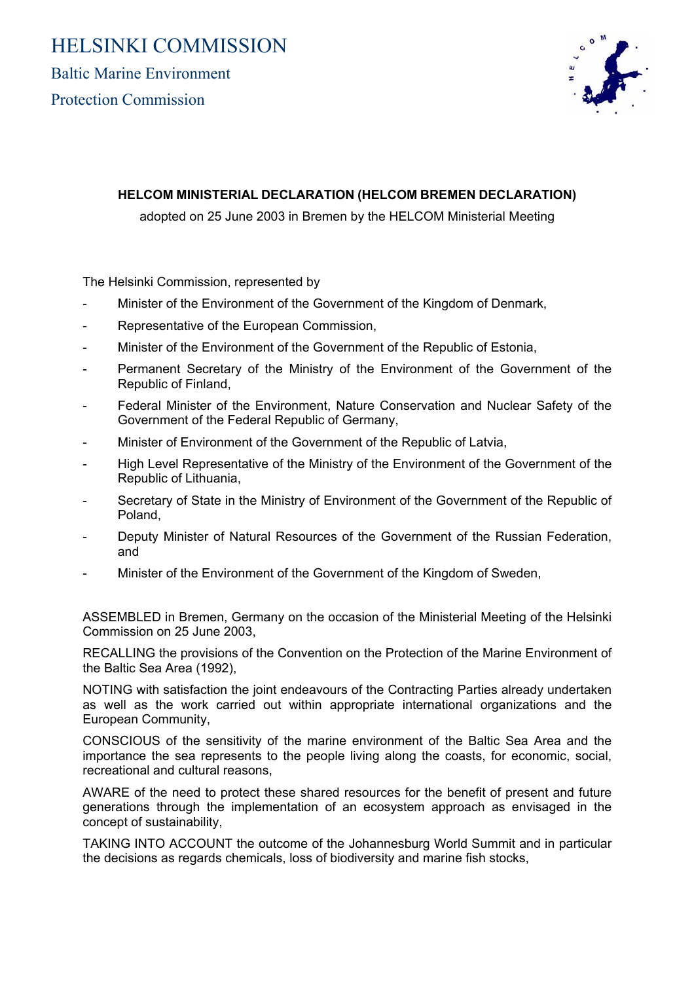# HELSINKI COMMISSION

Baltic Marine Environment Protection Commission



## **HELCOM MINISTERIAL DECLARATION (HELCOM BREMEN DECLARATION)**

adopted on 25 June 2003 in Bremen by the HELCOM Ministerial Meeting

The Helsinki Commission, represented by

- Minister of the Environment of the Government of the Kingdom of Denmark,
- Representative of the European Commission,
- Minister of the Environment of the Government of the Republic of Estonia,
- Permanent Secretary of the Ministry of the Environment of the Government of the Republic of Finland,
- Federal Minister of the Environment, Nature Conservation and Nuclear Safety of the Government of the Federal Republic of Germany,
- Minister of Environment of the Government of the Republic of Latvia,
- High Level Representative of the Ministry of the Environment of the Government of the Republic of Lithuania,
- Secretary of State in the Ministry of Environment of the Government of the Republic of Poland,
- Deputy Minister of Natural Resources of the Government of the Russian Federation, and
- Minister of the Environment of the Government of the Kingdom of Sweden,

ASSEMBLED in Bremen, Germany on the occasion of the Ministerial Meeting of the Helsinki Commission on 25 June 2003,

RECALLING the provisions of the Convention on the Protection of the Marine Environment of the Baltic Sea Area (1992),

NOTING with satisfaction the joint endeavours of the Contracting Parties already undertaken as well as the work carried out within appropriate international organizations and the European Community,

CONSCIOUS of the sensitivity of the marine environment of the Baltic Sea Area and the importance the sea represents to the people living along the coasts, for economic, social, recreational and cultural reasons,

AWARE of the need to protect these shared resources for the benefit of present and future generations through the implementation of an ecosystem approach as envisaged in the concept of sustainability,

TAKING INTO ACCOUNT the outcome of the Johannesburg World Summit and in particular the decisions as regards chemicals, loss of biodiversity and marine fish stocks,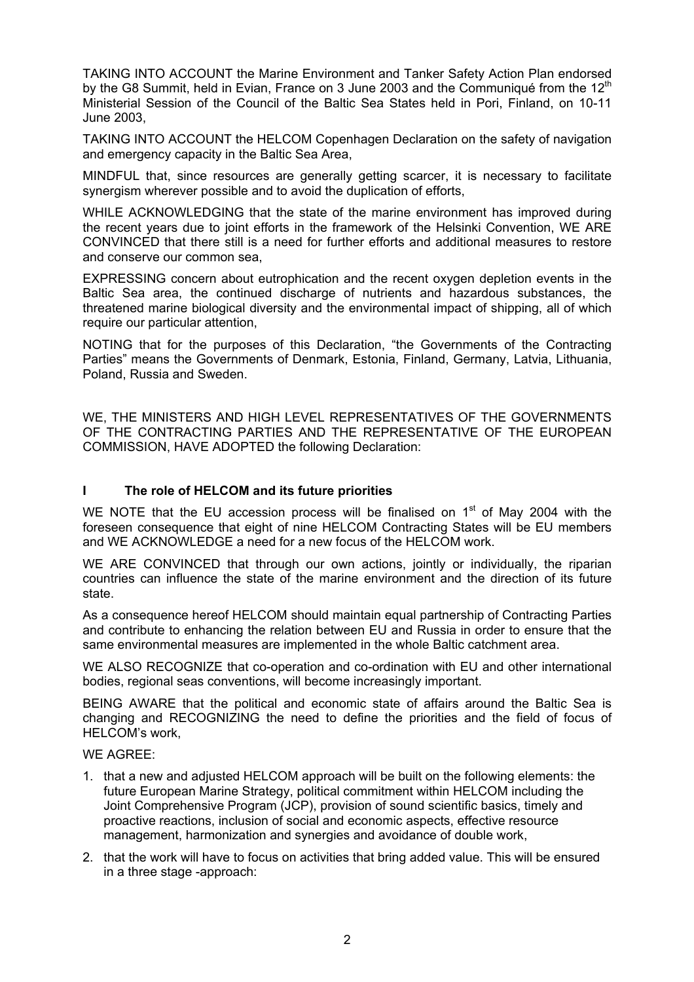TAKING INTO ACCOUNT the Marine Environment and Tanker Safety Action Plan endorsed by the G8 Summit, held in Evian, France on 3 June 2003 and the Communique from the  $12<sup>th</sup>$ Ministerial Session of the Council of the Baltic Sea States held in Pori, Finland, on 10-11 June 2003,

TAKING INTO ACCOUNT the HELCOM Copenhagen Declaration on the safety of navigation and emergency capacity in the Baltic Sea Area,

MINDFUL that, since resources are generally getting scarcer, it is necessary to facilitate synergism wherever possible and to avoid the duplication of efforts.

WHILE ACKNOWLEDGING that the state of the marine environment has improved during the recent years due to joint efforts in the framework of the Helsinki Convention, WE ARE CONVINCED that there still is a need for further efforts and additional measures to restore and conserve our common sea,

EXPRESSING concern about eutrophication and the recent oxygen depletion events in the Baltic Sea area, the continued discharge of nutrients and hazardous substances, the threatened marine biological diversity and the environmental impact of shipping, all of which require our particular attention.

NOTING that for the purposes of this Declaration, "the Governments of the Contracting Parties" means the Governments of Denmark, Estonia, Finland, Germany, Latvia, Lithuania, Poland, Russia and Sweden.

WE, THE MINISTERS AND HIGH LEVEL REPRESENTATIVES OF THE GOVERNMENTS OF THE CONTRACTING PARTIES AND THE REPRESENTATIVE OF THE EUROPEAN COMMISSION, HAVE ADOPTED the following Declaration:

### **I The role of HELCOM and its future priorities**

WE NOTE that the EU accession process will be finalised on  $1<sup>st</sup>$  of May 2004 with the foreseen consequence that eight of nine HELCOM Contracting States will be EU members and WE ACKNOWLEDGE a need for a new focus of the HELCOM work.

WE ARE CONVINCED that through our own actions, jointly or individually, the riparian countries can influence the state of the marine environment and the direction of its future state.

As a consequence hereof HELCOM should maintain equal partnership of Contracting Parties and contribute to enhancing the relation between EU and Russia in order to ensure that the same environmental measures are implemented in the whole Baltic catchment area.

WE ALSO RECOGNIZE that co-operation and co-ordination with EU and other international bodies, regional seas conventions, will become increasingly important.

BEING AWARE that the political and economic state of affairs around the Baltic Sea is changing and RECOGNIZING the need to define the priorities and the field of focus of HELCOM's work,

#### WE AGREE:

- 1. that a new and adjusted HELCOM approach will be built on the following elements: the future European Marine Strategy, political commitment within HELCOM including the Joint Comprehensive Program (JCP), provision of sound scientific basics, timely and proactive reactions, inclusion of social and economic aspects, effective resource management, harmonization and synergies and avoidance of double work,
- 2. that the work will have to focus on activities that bring added value. This will be ensured in a three stage -approach: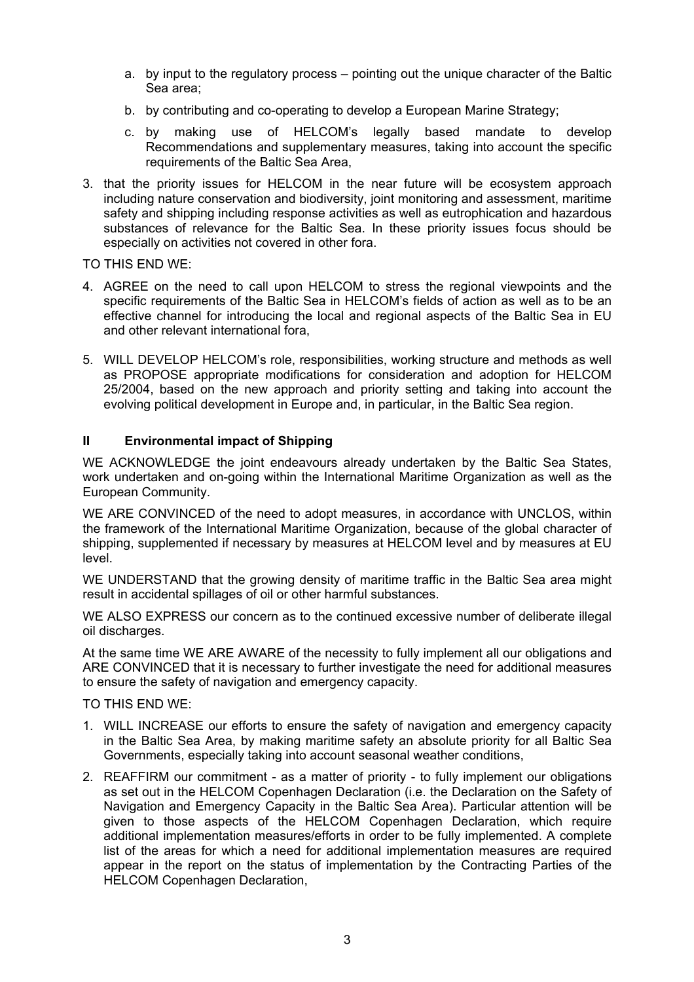- a. by input to the regulatory process pointing out the unique character of the Baltic Sea area;
- b. by contributing and co-operating to develop a European Marine Strategy;
- c. by making use of HELCOM's legally based mandate to develop Recommendations and supplementary measures, taking into account the specific requirements of the Baltic Sea Area,
- 3. that the priority issues for HELCOM in the near future will be ecosystem approach including nature conservation and biodiversity, joint monitoring and assessment, maritime safety and shipping including response activities as well as eutrophication and hazardous substances of relevance for the Baltic Sea. In these priority issues focus should be especially on activities not covered in other fora.

TO THIS END WE:

- 4. AGREE on the need to call upon HELCOM to stress the regional viewpoints and the specific requirements of the Baltic Sea in HELCOM's fields of action as well as to be an effective channel for introducing the local and regional aspects of the Baltic Sea in EU and other relevant international fora,
- 5. WILL DEVELOP HELCOM's role, responsibilities, working structure and methods as well as PROPOSE appropriate modifications for consideration and adoption for HELCOM 25/2004, based on the new approach and priority setting and taking into account the evolving political development in Europe and, in particular, in the Baltic Sea region.

### **II Environmental impact of Shipping**

WE ACKNOWLEDGE the joint endeavours already undertaken by the Baltic Sea States, work undertaken and on-going within the International Maritime Organization as well as the European Community.

WE ARE CONVINCED of the need to adopt measures, in accordance with UNCLOS, within the framework of the International Maritime Organization, because of the global character of shipping, supplemented if necessary by measures at HELCOM level and by measures at EU level.

WE UNDERSTAND that the growing density of maritime traffic in the Baltic Sea area might result in accidental spillages of oil or other harmful substances.

WE ALSO EXPRESS our concern as to the continued excessive number of deliberate illegal oil discharges.

At the same time WE ARE AWARE of the necessity to fully implement all our obligations and ARE CONVINCED that it is necessary to further investigate the need for additional measures to ensure the safety of navigation and emergency capacity.

TO THIS END WE:

- 1. WILL INCREASE our efforts to ensure the safety of navigation and emergency capacity in the Baltic Sea Area, by making maritime safety an absolute priority for all Baltic Sea Governments, especially taking into account seasonal weather conditions,
- 2. REAFFIRM our commitment as a matter of priority to fully implement our obligations as set out in the HELCOM Copenhagen Declaration (i.e. the Declaration on the Safety of Navigation and Emergency Capacity in the Baltic Sea Area). Particular attention will be given to those aspects of the HELCOM Copenhagen Declaration, which require additional implementation measures/efforts in order to be fully implemented. A complete list of the areas for which a need for additional implementation measures are required appear in the report on the status of implementation by the Contracting Parties of the HELCOM Copenhagen Declaration,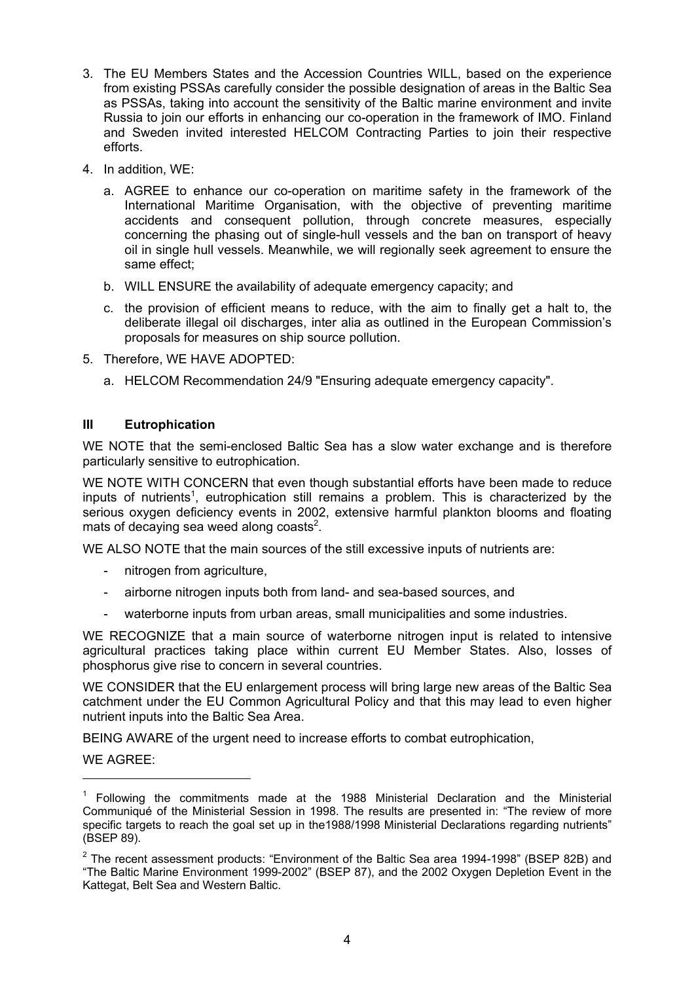- 3. The EU Members States and the Accession Countries WILL, based on the experience from existing PSSAs carefully consider the possible designation of areas in the Baltic Sea as PSSAs, taking into account the sensitivity of the Baltic marine environment and invite Russia to join our efforts in enhancing our co-operation in the framework of IMO. Finland and Sweden invited interested HELCOM Contracting Parties to join their respective efforts.
- 4. In addition, WE:
	- a. AGREE to enhance our co-operation on maritime safety in the framework of the International Maritime Organisation, with the objective of preventing maritime accidents and consequent pollution, through concrete measures, especially concerning the phasing out of single-hull vessels and the ban on transport of heavy oil in single hull vessels. Meanwhile, we will regionally seek agreement to ensure the same effect;
	- b. WILL ENSURE the availability of adequate emergency capacity; and
	- c. the provision of efficient means to reduce, with the aim to finally get a halt to, the deliberate illegal oil discharges, inter alia as outlined in the European Commission's proposals for measures on ship source pollution.
- 5. Therefore, WE HAVE ADOPTED:
	- a. HELCOM Recommendation 24/9 "Ensuring adequate emergency capacity".

## **III Eutrophication**

WE NOTE that the semi-enclosed Baltic Sea has a slow water exchange and is therefore particularly sensitive to eutrophication.

WE NOTE WITH CONCERN that even though substantial efforts have been made to reduce inputs of nutrients<sup>[1](#page-3-0)</sup>, eutrophication still remains a problem. This is characterized by the serious oxygen deficiency events in 2002, extensive harmful plankton blooms and floating mats of decaying sea weed along coasts<sup>2</sup>.

WE ALSO NOTE that the main sources of the still excessive inputs of nutrients are:

- nitrogen from agriculture,
- airborne nitrogen inputs both from land- and sea-based sources, and
- waterborne inputs from urban areas, small municipalities and some industries.

WE RECOGNIZE that a main source of waterborne nitrogen input is related to intensive agricultural practices taking place within current EU Member States. Also, losses of phosphorus give rise to concern in several countries.

WE CONSIDER that the EU enlargement process will bring large new areas of the Baltic Sea catchment under the EU Common Agricultural Policy and that this may lead to even higher nutrient inputs into the Baltic Sea Area.

BEING AWARE of the urgent need to increase efforts to combat eutrophication,

WE AGREE:

 $\overline{a}$ 

<span id="page-3-0"></span><sup>&</sup>lt;sup>1</sup> Following the commitments made at the 1988 Ministerial Declaration and the Ministerial Communiqué of the Ministerial Session in 1998. The results are presented in: "The review of more specific targets to reach the goal set up in the 1988/1998 Ministerial Declarations regarding nutrients" (BSEP 89).

<span id="page-3-1"></span> $2$  The recent assessment products: "Environment of the Baltic Sea area 1994-1998" (BSEP 82B) and "The Baltic Marine Environment 1999-2002" (BSEP 87), and the 2002 Oxygen Depletion Event in the Kattegat, Belt Sea and Western Baltic.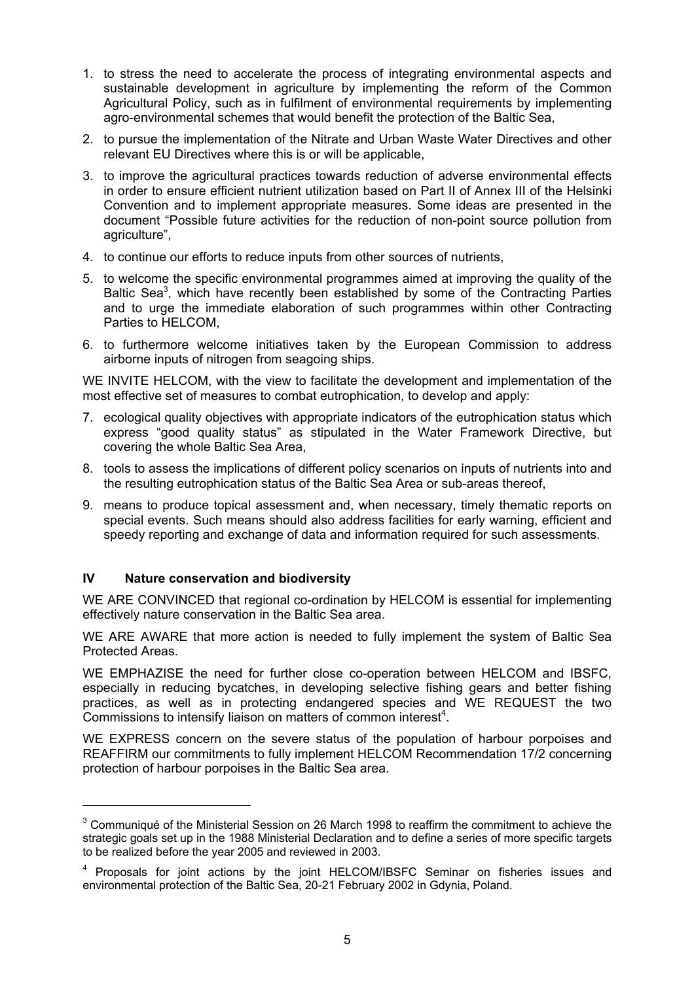- 1. to stress the need to accelerate the process of integrating environmental aspects and sustainable development in agriculture by implementing the reform of the Common Agricultural Policy, such as in fulfilment of environmental requirements by implementing agro-environmental schemes that would benefit the protection of the Baltic Sea,
- 2. to pursue the implementation of the Nitrate and Urban Waste Water Directives and other relevant EU Directives where this is or will be applicable,
- 3. to improve the agricultural practices towards reduction of adverse environmental effects in order to ensure efficient nutrient utilization based on Part II of Annex III of the Helsinki Convention and to implement appropriate measures. Some ideas are presented in the document "Possible future activities for the reduction of non-point source pollution from agriculture",
- 4. to continue our efforts to reduce inputs from other sources of nutrients,
- 5. to welcome the specific environmental programmes aimed at improving the quality of the Baltic Sea<sup>3</sup>, which have recently been established by some of the Contracting Parties and to urge the immediate elaboration of such programmes within other Contracting Parties to HELCOM,
- 6. to furthermore welcome initiatives taken by the European Commission to address airborne inputs of nitrogen from seagoing ships.

WE INVITE HELCOM, with the view to facilitate the development and implementation of the most effective set of measures to combat eutrophication, to develop and apply:

- 7. ecological quality objectives with appropriate indicators of the eutrophication status which express "good quality status" as stipulated in the Water Framework Directive, but covering the whole Baltic Sea Area,
- 8. tools to assess the implications of different policy scenarios on inputs of nutrients into and the resulting eutrophication status of the Baltic Sea Area or sub-areas thereof,
- 9. means to produce topical assessment and, when necessary, timely thematic reports on special events. Such means should also address facilities for early warning, efficient and speedy reporting and exchange of data and information required for such assessments.

## **IV Nature conservation and biodiversity**

WE ARE CONVINCED that regional co-ordination by HELCOM is essential for implementing effectively nature conservation in the Baltic Sea area.

WE ARE AWARE that more action is needed to fully implement the system of Baltic Sea Protected Areas.

WE EMPHAZISE the need for further close co-operation between HELCOM and IBSFC, especially in reducing bycatches, in developing selective fishing gears and better fishing practices, as well as in protecting endangered species and WE REQUEST the two Commissions to intensify liaison on matters of common interest<sup>4</sup>[.](#page-4-1)

WE EXPRESS concern on the severe status of the population of harbour porpoises and REAFFIRM our commitments to fully implement HELCOM Recommendation 17/2 concerning protection of harbour porpoises in the Baltic Sea area.

<span id="page-4-0"></span> $3$  Communiqué of the Ministerial Session on 26 March 1998 to reaffirm the commitment to achieve the strategic goals set up in the 1988 Ministerial Declaration and to define a series of more specific targets to be realized before the year 2005 and reviewed in 2003.

<span id="page-4-1"></span><sup>&</sup>lt;sup>4</sup> Proposals for joint actions by the joint HELCOM/IBSFC Seminar on fisheries issues and environmental protection of the Baltic Sea, 20-21 February 2002 in Gdynia, Poland.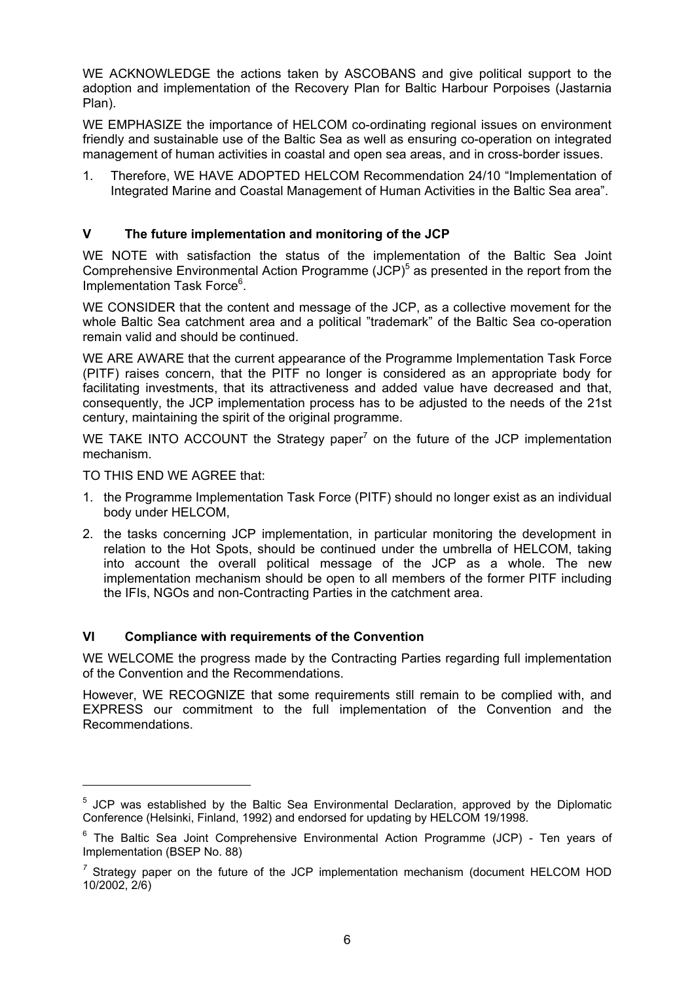WE ACKNOWLEDGE the actions taken by ASCOBANS and give political support to the adoption and implementation of the Recovery Plan for Baltic Harbour Porpoises (Jastarnia Plan).

WE EMPHASIZE the importance of HELCOM co-ordinating regional issues on environment friendly and sustainable use of the Baltic Sea as well as ensuring co-operation on integrated management of human activities in coastal and open sea areas, and in cross-border issues.

1. Therefore, WE HAVE ADOPTED HELCOM Recommendation 24/10 "Implementation of Integrated Marine and Coastal Management of Human Activities in the Baltic Sea area".

## **V The future implementation and monitoring of the JCP**

WE NOTE with satisfaction the status of the implementation of the Baltic Sea Joint ComprehensiveEnvironmental Action Programme  $(JCP)^5$  as presented in the report from the Implementation Task Force<sup>[6](#page-5-1)</sup>.

WE CONSIDER that the content and message of the JCP, as a collective movement for the whole Baltic Sea catchment area and a political "trademark" of the Baltic Sea co-operation remain valid and should be continued.

WE ARE AWARE that the current appearance of the Programme Implementation Task Force (PITF) raises concern, that the PITF no longer is considered as an appropriate body for facilitating investments, that its attractiveness and added value have decreased and that, consequently, the JCP implementation process has to be adjusted to the needs of the 21st century, maintaining the spirit of the original programme.

WETAKE INTO ACCOUNT the Strategy paper<sup>7</sup> on the future of the JCP implementation mechanism.

TO THIS END WE AGREE that:

- 1. the Programme Implementation Task Force (PITF) should no longer exist as an individual body under HELCOM,
- 2. the tasks concerning JCP implementation, in particular monitoring the development in relation to the Hot Spots, should be continued under the umbrella of HELCOM, taking into account the overall political message of the JCP as a whole. The new implementation mechanism should be open to all members of the former PITF including the IFIs, NGOs and non-Contracting Parties in the catchment area.

## **VI Compliance with requirements of the Convention**

WE WELCOME the progress made by the Contracting Parties regarding full implementation of the Convention and the Recommendations.

However, WE RECOGNIZE that some requirements still remain to be complied with, and EXPRESS our commitment to the full implementation of the Convention and the Recommendations.

<span id="page-5-0"></span><sup>&</sup>lt;sup>5</sup> JCP was established by the Baltic Sea Environmental Declaration, approved by the Diplomatic Conference (Helsinki, Finland, 1992) and endorsed for updating by HELCOM 19/1998.

<span id="page-5-1"></span><sup>&</sup>lt;sup>6</sup> The Baltic Sea Joint Comprehensive Environmental Action Programme (JCP) - Ten years of Implementation (BSEP No. 88)

<span id="page-5-2"></span>*<sup>7</sup>* Strategy paper on the future of the JCP implementation mechanism (document HELCOM HOD 10/2002, 2/6)